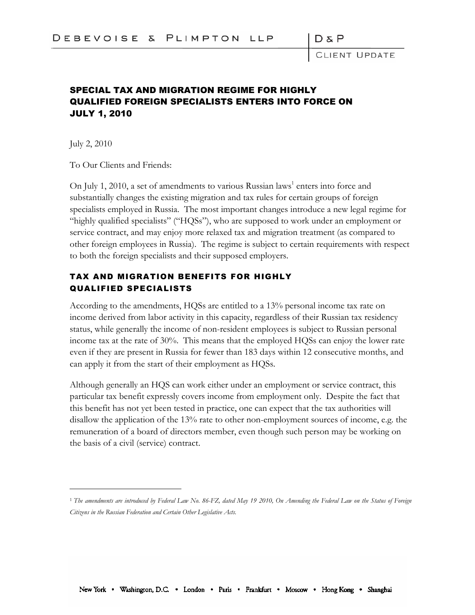$D \& F$ 

LENT UPDATE

## SPECIAL TAX AND MIGRATION REGIME FOR HIGHLY QUALIFIED FOREIGN SPECIALISTS ENTERS INTO FORCE ON JULY 1, 2010

July 2, 2010

To Our Clients and Friends:

On July 1, 2010, a set of amendments to various Russian laws<sup>1</sup> enters into force and substantially changes the existing migration and tax rules for certain groups of foreign specialists employed in Russia. The most important changes introduce a new legal regime for "highly qualified specialists" ("HQSs"), who are supposed to work under an employment or service contract, and may enjoy more relaxed tax and migration treatment (as compared to other foreign employees in Russia). The regime is subject to certain requirements with respect to both the foreign specialists and their supposed employers.

## TAX AND MIGRATION BENEFITS FOR HIGHLY QUALIFIED SPECIALISTS

According to the amendments, HQSs are entitled to a 13% personal income tax rate on income derived from labor activity in this capacity, regardless of their Russian tax residency status, while generally the income of non-resident employees is subject to Russian personal income tax at the rate of 30%. This means that the employed HQSs can enjoy the lower rate even if they are present in Russia for fewer than 183 days within 12 consecutive months, and can apply it from the start of their employment as HQSs.

Although generally an HQS can work either under an employment or service contract, this particular tax benefit expressly covers income from employment only. Despite the fact that this benefit has not yet been tested in practice, one can expect that the tax authorities will disallow the application of the 13% rate to other non-employment sources of income, e.g. the remuneration of a board of directors member, even though such person may be working on the basis of a civil (service) contract.

<sup>1</sup> *The amendments are introduced by Federal Law No. 86-FZ, dated May 19 2010, On Amending the Federal Law on the Status of Foreign Citizens in the Russian Federation and Certain Other Legislative Acts.*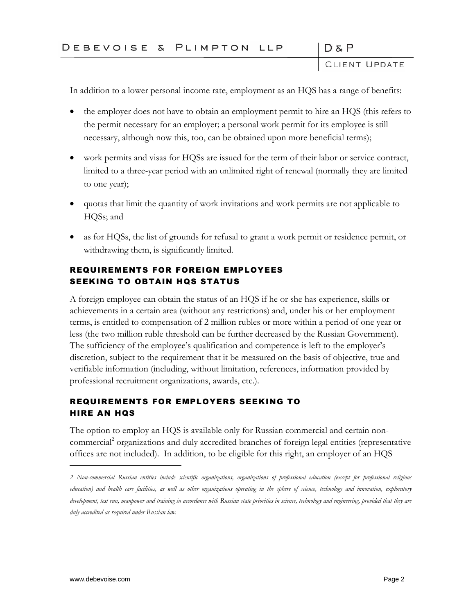D & P<br>CLIENT UPDATE

 $D & P$ 

In addition to a lower personal income rate, employment as an HQS has a range of benefits:

- the employer does not have to obtain an employment permit to hire an HQS (this refers to the permit necessary for an employer; a personal work permit for its employee is still necessary, although now this, too, can be obtained upon more beneficial terms);
- work permits and visas for HQSs are issued for the term of their labor or service contract, limited to a three-year period with an unlimited right of renewal (normally they are limited to one year);
- quotas that limit the quantity of work invitations and work permits are not applicable to HQSs; and
- as for HQSs, the list of grounds for refusal to grant a work permit or residence permit, or withdrawing them, is significantly limited.

## REQUIREMENTS FOR FOREIGN EMPLOYEES SEEKING TO OBTAIN HOS STATUS

A foreign employee can obtain the status of an HQS if he or she has experience, skills or achievements in a certain area (without any restrictions) and, under his or her employment terms, is entitled to compensation of 2 million rubles or more within a period of one year or less (the two million ruble threshold can be further decreased by the Russian Government). The sufficiency of the employee's qualification and competence is left to the employer's discretion, subject to the requirement that it be measured on the basis of objective, true and verifiable information (including, without limitation, references, information provided by professional recruitment organizations, awards, etc.).

## REQUIREMENTS FOR EMPLOYERS SEEKING TO HIRE AN HQS

The option to employ an HQS is available only for Russian commercial and certain noncommercial<sup>2</sup> organizations and duly accredited branches of foreign legal entities (representative offices are not included). In addition, to be eligible for this right, an employer of an HQS

*<sup>2</sup> Non-commercial Russian entities include scientific organizations, organizations of professional education (except for professional religious education) and health care facilities, as well as other organizations operating in the sphere of science, technology and innovation, exploratory development, test run, manpower and training in accordance with Russian state priorities in science, technology and engineering, provided that they are duly accredited as required under Russian law.*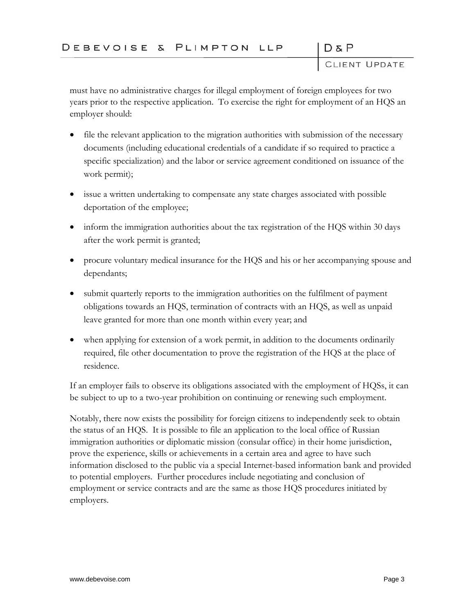$D & P$ 

D & P<br>CLIENT UPDATE

must have no administrative charges for illegal employment of foreign employees for two years prior to the respective application. To exercise the right for employment of an HQS an employer should:

- file the relevant application to the migration authorities with submission of the necessary documents (including educational credentials of a candidate if so required to practice a specific specialization) and the labor or service agreement conditioned on issuance of the work permit);
- issue a written undertaking to compensate any state charges associated with possible deportation of the employee;
- inform the immigration authorities about the tax registration of the HQS within 30 days after the work permit is granted;
- procure voluntary medical insurance for the HQS and his or her accompanying spouse and dependants;
- submit quarterly reports to the immigration authorities on the fulfilment of payment obligations towards an HQS, termination of contracts with an HQS, as well as unpaid leave granted for more than one month within every year; and
- when applying for extension of a work permit, in addition to the documents ordinarily required, file other documentation to prove the registration of the HQS at the place of residence.

If an employer fails to observe its obligations associated with the employment of HQSs, it can be subject to up to a two-year prohibition on continuing or renewing such employment.

Notably, there now exists the possibility for foreign citizens to independently seek to obtain the status of an HQS. It is possible to file an application to the local office of Russian immigration authorities or diplomatic mission (consular office) in their home jurisdiction, prove the experience, skills or achievements in a certain area and agree to have such information disclosed to the public via a special Internet-based information bank and provided to potential employers. Further procedures include negotiating and conclusion of employment or service contracts and are the same as those HQS procedures initiated by employers.